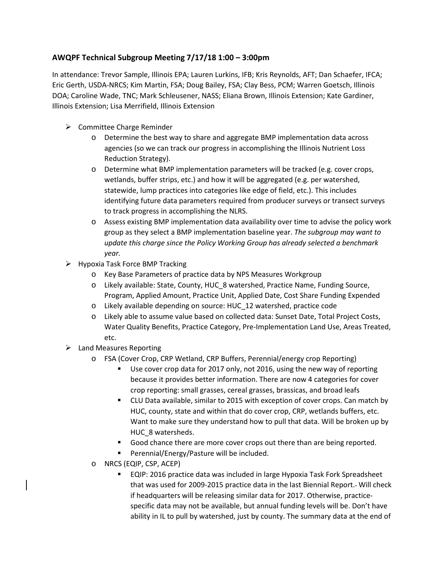## **AWQPF Technical Subgroup Meeting 7/17/18 1:00 – 3:00pm**

In attendance: Trevor Sample, Illinois EPA; Lauren Lurkins, IFB; Kris Reynolds, AFT; Dan Schaefer, IFCA; Eric Gerth, USDA-NRCS; Kim Martin, FSA; Doug Bailey, FSA; Clay Bess, PCM; Warren Goetsch, Illinois DOA; Caroline Wade, TNC; Mark Schleusener, NASS; Eliana Brown, Illinois Extension; Kate Gardiner, Illinois Extension; Lisa Merrifield, Illinois Extension

- $\triangleright$  Committee Charge Reminder
	- o Determine the best way to share and aggregate BMP implementation data across agencies (so we can track our progress in accomplishing the Illinois Nutrient Loss Reduction Strategy).
	- o Determine what BMP implementation parameters will be tracked (e.g. cover crops, wetlands, buffer strips, etc.) and how it will be aggregated (e.g. per watershed, statewide, lump practices into categories like edge of field, etc.). This includes identifying future data parameters required from producer surveys or transect surveys to track progress in accomplishing the NLRS.
	- o Assess existing BMP implementation data availability over time to advise the policy work group as they select a BMP implementation baseline year. *The subgroup may want to update this charge since the Policy Working Group has already selected a benchmark year.*
- $\triangleright$  Hypoxia Task Force BMP Tracking
	- o Key Base Parameters of practice data by NPS Measures Workgroup
	- o Likely available: State, County, HUC\_8 watershed, Practice Name, Funding Source, Program, Applied Amount, Practice Unit, Applied Date, Cost Share Funding Expended
	- o Likely available depending on source: HUC\_12 watershed, practice code
	- o Likely able to assume value based on collected data: Sunset Date, Total Project Costs, Water Quality Benefits, Practice Category, Pre-Implementation Land Use, Areas Treated, etc.
- $\triangleright$  Land Measures Reporting
	- o FSA (Cover Crop, CRP Wetland, CRP Buffers, Perennial/energy crop Reporting)
		- Use cover crop data for 2017 only, not 2016, using the new way of reporting because it provides better information. There are now 4 categories for cover crop reporting: small grasses, cereal grasses, brassicas, and broad leafs
		- CLU Data available, similar to 2015 with exception of cover crops. Can match by HUC, county, state and within that do cover crop, CRP, wetlands buffers, etc. Want to make sure they understand how to pull that data. Will be broken up by HUC\_8 watersheds.
		- Good chance there are more cover crops out there than are being reported.
		- **Perennial/Energy/Pasture will be included.**
	- o NRCS (EQIP, CSP, ACEP)
		- EQIP: 2016 practice data was included in large Hypoxia Task Fork Spreadsheet that was used for 2009-2015 practice data in the last Biennial Report. Will check if headquarters will be releasing similar data for 2017. Otherwise, practicespecific data may not be available, but annual funding levels will be. Don't have ability in IL to pull by watershed, just by county. The summary data at the end of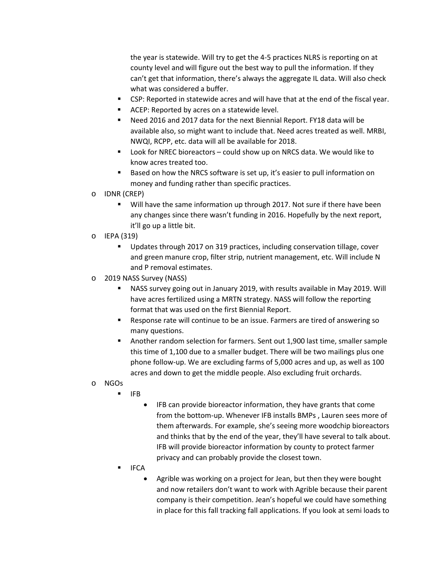the year is statewide. Will try to get the 4-5 practices NLRS is reporting on at county level and will figure out the best way to pull the information. If they can't get that information, there's always the aggregate IL data. Will also check what was considered a buffer.

- CSP: Reported in statewide acres and will have that at the end of the fiscal year.
- ACEP: Reported by acres on a statewide level.
- Need 2016 and 2017 data for the next Biennial Report. FY18 data will be available also, so might want to include that. Need acres treated as well. MRBI, NWQI, RCPP, etc. data will all be available for 2018.
- Look for NREC bioreactors could show up on NRCS data. We would like to know acres treated too.
- Based on how the NRCS software is set up, it's easier to pull information on money and funding rather than specific practices.
- o IDNR (CREP)
	- Will have the same information up through 2017. Not sure if there have been any changes since there wasn't funding in 2016. Hopefully by the next report, it'll go up a little bit.
- o IEPA (319)
	- Updates through 2017 on 319 practices, including conservation tillage, cover and green manure crop, filter strip, nutrient management, etc. Will include N and P removal estimates.
- o 2019 NASS Survey (NASS)
	- NASS survey going out in January 2019, with results available in May 2019. Will have acres fertilized using a MRTN strategy. NASS will follow the reporting format that was used on the first Biennial Report.
	- Response rate will continue to be an issue. Farmers are tired of answering so many questions.
	- Another random selection for farmers. Sent out 1,900 last time, smaller sample this time of 1,100 due to a smaller budget. There will be two mailings plus one phone follow-up. We are excluding farms of 5,000 acres and up, as well as 100 acres and down to get the middle people. Also excluding fruit orchards.
- o NGOs
	- $I = IFB$
- IFB can provide bioreactor information, they have grants that come from the bottom-up. Whenever IFB installs BMPs , Lauren sees more of them afterwards. For example, she's seeing more woodchip bioreactors and thinks that by the end of the year, they'll have several to talk about. IFB will provide bioreactor information by county to protect farmer privacy and can probably provide the closest town.
- IFCA
	- Agrible was working on a project for Jean, but then they were bought and now retailers don't want to work with Agrible because their parent company is their competition. Jean's hopeful we could have something in place for this fall tracking fall applications. If you look at semi loads to